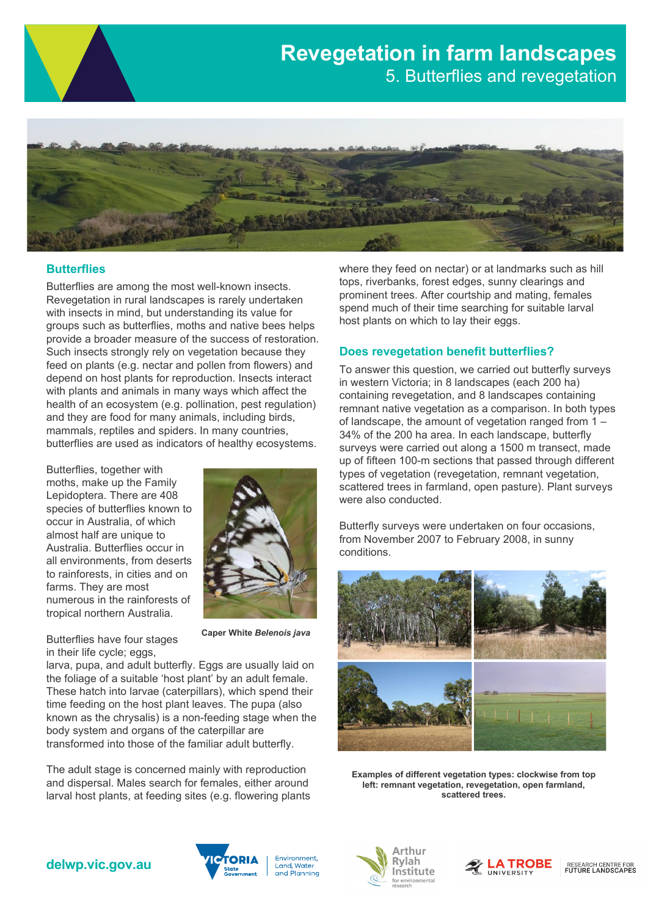# **Revegetation in farm landscapes** 5. Butterflies and revegetation



## **Butterflies**

Butterflies are among the most well-known insects. Revegetation in rural landscapes is rarely undertaken with insects in mind, but understanding its value for groups such as butterflies, moths and native bees helps provide a broader measure of the success of restoration. Such insects strongly rely on vegetation because they feed on plants (e.g. nectar and pollen from flowers) and depend on host plants for reproduction. Insects interact with plants and animals in many ways which affect the health of an ecosystem (e.g. pollination, pest regulation) and they are food for many animals, including birds, mammals, reptiles and spiders. In many countries, butterflies are used as indicators of healthy ecosystems.

Butterflies, together with moths, make up the Family Lepidoptera. There are 408 species of butterflies known to occur in Australia, of which almost half are unique to Australia. Butterflies occur in all environments, from deserts to rainforests, in cities and on farms. They are most numerous in the rainforests of tropical northern Australia.



Butterflies have four stages in their life cycle; eggs,

**Caper White** *Belenois java*

larva, pupa, and adult butterfly. Eggs are usually laid on the foliage of a suitable 'host plant' by an adult female. These hatch into larvae (caterpillars), which spend their time feeding on the host plant leaves. The pupa (also known as the chrysalis) is a non-feeding stage when the body system and organs of the caterpillar are transformed into those of the familiar adult butterfly.

The adult stage is concerned mainly with reproduction and dispersal. Males search for females, either around larval host plants, at feeding sites (e.g. flowering plants where they feed on nectar) or at landmarks such as hill tops, riverbanks, forest edges, sunny clearings and prominent trees. After courtship and mating, females spend much of their time searching for suitable larval host plants on which to lay their eggs.

#### **Does revegetation benefit butterflies?**

To answer this question, we carried out butterfly surveys in western Victoria; in 8 landscapes (each 200 ha) containing revegetation, and 8 landscapes containing remnant native vegetation as a comparison. In both types of landscape, the amount of vegetation ranged from 1 – 34% of the 200 ha area. In each landscape, butterfly surveys were carried out along a 1500 m transect, made up of fifteen 100-m sections that passed through different types of vegetation (revegetation, remnant vegetation, scattered trees in farmland, open pasture). Plant surveys were also conducted.

Butterfly surveys were undertaken on four occasions, from November 2007 to February 2008, in sunny conditions.



**Examples of different vegetation types: clockwise from top left: remnant vegetation, revegetation, open farmland, scattered trees.**